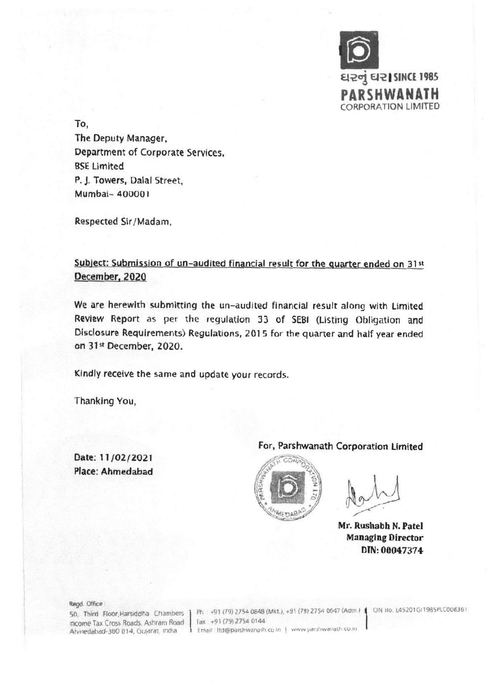

To,

The Deputy Manager, Department of Corporate Services, BSE Limited P. J. Towers, Dalai Street, Mumbai- 400001

Respected Sir/Madam,

Subject: Submission of un-audited financial result for the quarter ended on 31st December, 2020

We are herewith submitting the un-audited financial result along with Limited Review Report as per the regulation 33 of SEM (Listing Obligation and Disclosure Requirements) Regulations, 2015 for the quarter and half year ended on 31st December, 2020.

Kindly receive the same and update your records.

Thanking You,

Date: 11/02/2021 Place: Ahmedabad

## For, Parshwanath Corporation Limited



Mr. Rushabh N. Patel Managing Director DIN: 00047374

## Regd. Office:

Income Tax Cross Roads, Ashram Road Ahmedabad-380 014, Gujarat, India.

50, Third Floor, Harsiddha Chambers | Ph. +91 (79) 2754 0848 (Mkt.), +91 (79) 2754 0647 (Adm.) | CIN No. L45201GJ1985PLC008361 Fax: +91 (79) 2754 0144 Email: Itd@parshwanath.co.in | www.parshwanath.co.in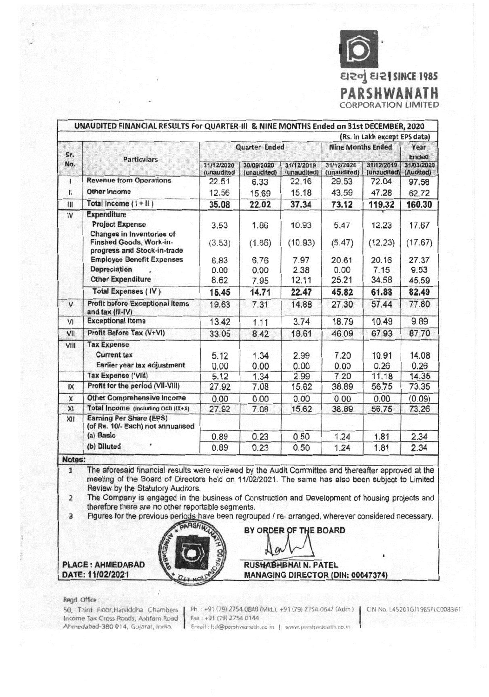

|              | UNAUDITED FINANCIAL RESULTS For QUARTER-III & NINE MONTHS Ended on 31st DECEMBER, 2020                                              |                               |                           |                           |                           |                           |                         |
|--------------|-------------------------------------------------------------------------------------------------------------------------------------|-------------------------------|---------------------------|---------------------------|---------------------------|---------------------------|-------------------------|
|              |                                                                                                                                     | (Rs. in Lakh except EPS data) |                           |                           |                           |                           |                         |
| Sr.<br>No.   | <b>Particulars</b>                                                                                                                  | <b>Quarter Ended</b>          |                           |                           | <b>Nine Months Ended</b>  |                           | Year<br><b>Ended</b>    |
|              |                                                                                                                                     | 31/12/2020<br>(unaudited      | 30/09/2020<br>(unaudited) | 31/12/2019<br>(unaudited) | 31/12/2020<br>(unaudited) | 31/12/2019<br>(unaudited) | 31/03/2020<br>(Audited) |
| $\mathbf{I}$ | <b>Revenue from Operations</b>                                                                                                      | 22.51                         | 6.33                      | 22.16                     | 29.53                     | 72.04                     | 97.58                   |
| $\mathbf{H}$ | Other Income                                                                                                                        | 12.56                         | 15.69                     | 15.18                     | 43.59                     | 47.28                     | 62.72                   |
| $\mathbb{I}$ | Total Income $(1 + 11)$                                                                                                             | 35.08                         | 22.02                     | 37.34                     | 73.12                     | 119.32                    | 160.30                  |
| IV           | <b>Expenditure</b><br><b>Project Expense</b><br>Changes in Inventories of<br>Finshed Goods, Work-in-<br>progress and Stock-in-trade | 3.53<br>(3.53)                | 1.86<br>(1.86)            | 10.93<br>(10.93)          | 5.47<br>(5.47)            | 12.23<br>(12.23)          | 17.67<br>(17.67)        |
|              | <b>Employee Benefit Expenses</b><br><b>Depreciation</b><br><b>Other Expenditure</b>                                                 | 6.83<br>0.00<br>8.62          | 6.76<br>0.00<br>7.95      | 7.97<br>2.38<br>12.11     | 20.61<br>0.00<br>25.21    | 20.16<br>7.15<br>34.58    | 27.37<br>9.53<br>45.59  |
|              | <b>Total Expenses (IV)</b>                                                                                                          | 15.45                         | 14.71                     | 22.47                     | 45.82                     | 61.88                     | 82.49                   |
| $\mathsf{V}$ | <b>Profit before Exceptional Items</b><br>and tax (III-IV)                                                                          | 19.63                         | 7.31                      | 14.88                     | 27.30                     | 57.44                     | 77.80                   |
| VI           | <b>Exceptional Items</b>                                                                                                            | 13.42                         | 1.11                      | 3.74                      | 18.79                     | 10.49                     | 9.89                    |
| VII          | Profit Before Tax (V+VI)                                                                                                            | 33.05                         | 8.42                      | 18.61                     | 46.09                     | 67.93                     | 87.70                   |
| VIII         | <b>Tax Expense</b><br><b>Current tax</b><br>Earlier year tax adjustment<br><b>Tax Expense ('VIII)</b>                               | 5.12<br>0.00<br>5.12          | 1.34<br>0.00<br>1.34      | 2.99<br>0.00<br>2.99      | 7.20<br>0.00<br>7.20      | 10.91<br>0.26<br>11.18    | 14.08<br>0.26<br>14.35  |
| IX           | Profit for the period (VII-VIII)                                                                                                    | 27.92                         | 7.08                      | 15.62                     | 38.89                     | 56.75                     | 73.35                   |
| X            | <b>Other Comprehensive Income</b>                                                                                                   | 0.00                          | 0.00                      | 0.00                      | 0.00                      | 0.00                      | (0.09)                  |
| XI           | Total Income (Including OCI) (IX+X)                                                                                                 | 27.92                         | 7.08                      | 15.62                     | 38.89                     | 56.75                     | 73.26                   |
| XII          | <b>Earning Per Share (EPS)</b><br>(of Rs. 10/- Each) not annualised<br>(a) Basic                                                    | 0.89                          | 0.23                      | 0.50                      | 1.24                      | 1.81                      | 2.34                    |
|              | (b) Diluted                                                                                                                         | 0.89                          | 0.23                      | 0.50                      | 1.24                      | 1.81                      | 2.34                    |

Notes:

The aforesaid financial results were reviewed by the Audit Committee and thereafter approved at the  $\mathbf{1}$ meeting of the Board of Directors held on 11/02/2021. The same has also been subject to Limited Review by the Statutory Auditors.

 $\overline{2}$ The Company is engaged in the business of Construction and Development of housing projects and therefore there are no other reportable segments.

Figures for the previous periods have been regrouped / re- arranged, wherever considered necessary.  $\overline{3}$ 



**PLACE: AHMEDABAD** DATE: 11/02/2021

**RUSHABHBHAI N. PATEL** MANAGING DIRECTOR (DIN: 00047374)

BY ORDER OF THE BOARD

## Regd. Office:

50, Third Floor, Harsiddha Chambers Income Tax Cross Roads, Ashram Road Ahmedabad-380 014, Gujarat, India.

Ph.: +91 (79) 2754 0848 (Mkt.), +91 (79) 2754 0647 (Adm.) CIN No. L45201GJ1985PLC008361 Fax: +91 (79) 2754 0144 Email: Itd@parshwanath.co.in | www.parshwanath.co.in